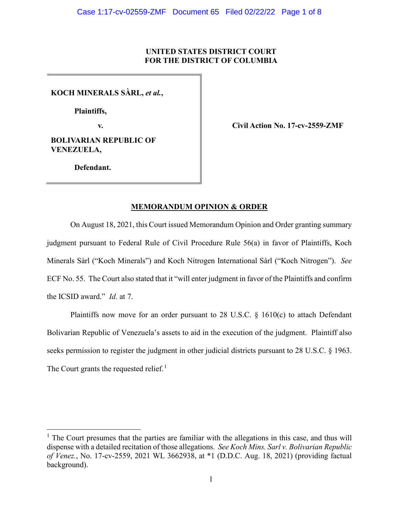## **UNITED STATES DISTRICT COURT FOR THE DISTRICT OF COLUMBIA**

**KOCH MINERALS SÀRL,** *et al.***,**

**Plaintiffs,**

**BOLIVARIAN REPUBLIC OF VENEZUELA,**

**v. Civil Action No. 17-cv-2559-ZMF**

**Defendant.**

# **MEMORANDUM OPINION & ORDER**

On August 18, 2021, this Court issued Memorandum Opinion and Order granting summary judgment pursuant to Federal Rule of Civil Procedure Rule 56(a) in favor of Plaintiffs, Koch Minerals Sàrl ("Koch Minerals") and Koch Nitrogen International Sàrl ("Koch Nitrogen"). *See*  ECF No. 55. The Court also stated that it "will enter judgment in favor of the Plaintiffs and confirm the ICSID award." *Id*. at 7.

Plaintiffs now move for an order pursuant to 28 U.S.C.  $\S$  1610(c) to attach Defendant Bolivarian Republic of Venezuela's assets to aid in the execution of the judgment. Plaintiff also seeks permission to register the judgment in other judicial districts pursuant to 28 U.S.C. § 1963. The Court grants the requested relief.<sup>[1](#page-0-0)</sup>

<span id="page-0-0"></span> $1$  The Court presumes that the parties are familiar with the allegations in this case, and thus will dispense with a detailed recitation of those allegations. *See Koch Mins. Sarl v. Bolivarian Republic of Venez.*, No. 17-cv-2559, 2021 WL 3662938, at \*1 (D.D.C. Aug. 18, 2021) (providing factual background).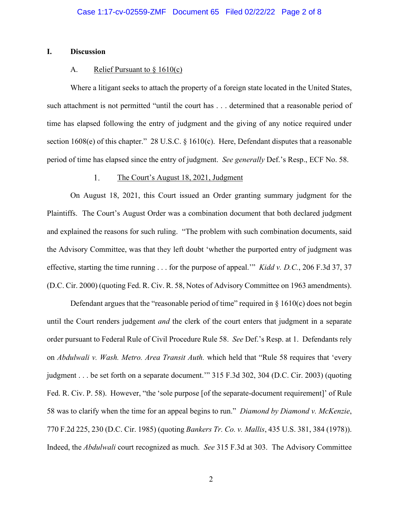#### **I. Discussion**

### A. Relief Pursuant to  $\S 1610(c)$

Where a litigant seeks to attach the property of a foreign state located in the United States, such attachment is not permitted "until the court has . . . determined that a reasonable period of time has elapsed following the entry of judgment and the giving of any notice required under section 1608(e) of this chapter." 28 U.S.C. § 1610(c). Here, Defendant disputes that a reasonable period of time has elapsed since the entry of judgment. *See generally* Def.'s Resp., ECF No. 58.

#### The Court's August 18, 2021, Judgment 1.

On August 18, 2021, this Court issued an Order granting summary judgment for the Plaintiffs. The Court's August Order was a combination document that both declared judgment and explained the reasons for such ruling. "The problem with such combination documents, said the Advisory Committee, was that they left doubt 'whether the purported entry of judgment was effective, starting the time running . . . for the purpose of appeal.'" *Kidd v. D.C.*, 206 F.3d 37, 37 (D.C. Cir. 2000) (quoting Fed. R. Civ. R. 58, Notes of Advisory Committee on 1963 amendments).

Defendant argues that the "reasonable period of time" required in  $\S$  1610(c) does not begin until the Court renders judgement *and* the clerk of the court enters that judgment in a separate order pursuant to Federal Rule of Civil Procedure Rule 58. *See* Def.'s Resp. at 1. Defendants rely on *Abdulwali v. Wash. Metro. Area Transit Auth.* which held that "Rule 58 requires that 'every judgment . . . be set forth on a separate document." 315 F.3d 302, 304 (D.C. Cir. 2003) (quoting Fed. R. Civ. P. 58). However, "the 'sole purpose [of the separate-document requirement]' of Rule 58 was to clarify when the time for an appeal begins to run." *Diamond by Diamond v. McKenzie*, 770 F.2d 225, 230 (D.C. Cir. 1985) (quoting *Bankers Tr. Co. v. Mallis*, 435 U.S. 381, 384 (1978)). Indeed, the *Abdulwali* court recognized as much. *See* 315 F.3d at 303. The Advisory Committee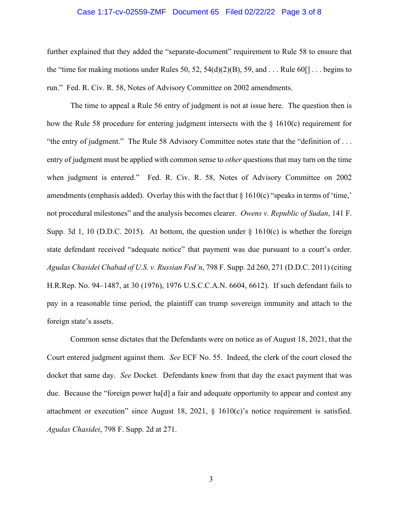#### Case 1:17-cv-02559-ZMF Document 65 Filed 02/22/22 Page 3 of 8

further explained that they added the "separate-document" requirement to Rule 58 to ensure that the "time for making motions under Rules 50, 52, 54(d)(2)(B), 59, and  $\dots$  Rule 60[]  $\dots$  begins to run." Fed. R. Civ. R. 58, Notes of Advisory Committee on 2002 amendments.

The time to appeal a Rule 56 entry of judgment is not at issue here. The question then is how the Rule 58 procedure for entering judgment intersects with the  $\S$  1610(c) requirement for "the entry of judgment." The Rule 58 Advisory Committee notes state that the "definition of . . . entry of judgment must be applied with common sense to *other* questions that may turn on the time when judgment is entered." Fed. R. Civ. R. 58, Notes of Advisory Committee on 2002 amendments (emphasis added). Overlay this with the fact that § 1610(c) "speaks in terms of 'time,' not procedural milestones" and the analysis becomes clearer. *Owens v. Republic of Sudan*, 141 F. Supp. 3d 1, 10 (D.D.C. 2015). At bottom, the question under  $\S$  1610(c) is whether the foreign state defendant received "adequate notice" that payment was due pursuant to a court's order. *Agudas Chasidei Chabad of U.S. v. Russian Fed'n*, 798 F. Supp. 2d 260, 271 (D.D.C. 2011) (citing H.R.Rep. No. 94–1487, at 30 (1976), 1976 U.S.C.C.A.N. 6604, 6612). If such defendant fails to pay in a reasonable time period, the plaintiff can trump sovereign immunity and attach to the foreign state's assets.

Common sense dictates that the Defendants were on notice as of August 18, 2021, that the Court entered judgment against them. *See* ECF No. 55. Indeed, the clerk of the court closed the docket that same day. *See* Docket*.* Defendants knew from that day the exact payment that was due. Because the "foreign power ha[d] a fair and adequate opportunity to appear and contest any attachment or execution" since August 18, 2021, § 1610(c)'s notice requirement is satisfied. *Agudas Chasidei*, 798 F. Supp. 2d at 271.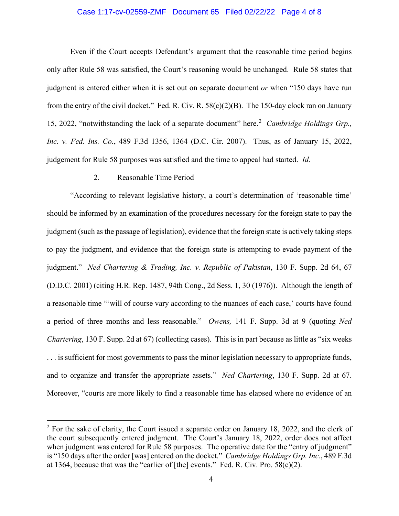### Case 1:17-cv-02559-ZMF Document 65 Filed 02/22/22 Page 4 of 8

Even if the Court accepts Defendant's argument that the reasonable time period begins only after Rule 58 was satisfied, the Court's reasoning would be unchanged. Rule 58 states that judgment is entered either when it is set out on separate document *or* when "150 days have run from the entry of the civil docket." Fed. R. Civ. R. 58(c)(2)(B). The 150-day clock ran on January 15, [2](#page-3-0)022, "notwithstanding the lack of a separate document" here.<sup>2</sup> Cambridge Holdings Grp., *Inc. v. Fed. Ins. Co.*, 489 F.3d 1356, 1364 (D.C. Cir. 2007).Thus, as of January 15, 2022, judgement for Rule 58 purposes was satisfied and the time to appeal had started. *Id*.

#### 2. Reasonable Time Period

"According to relevant legislative history, a court's determination of 'reasonable time' should be informed by an examination of the procedures necessary for the foreign state to pay the judgment (such as the passage of legislation), evidence that the foreign state is actively taking steps to pay the judgment, and evidence that the foreign state is attempting to evade payment of the judgment." *Ned Chartering & Trading, Inc. v. Republic of Pakistan*, 130 F. Supp. 2d 64, 67 (D.D.C. 2001) (citing H.R. Rep. 1487, 94th Cong., 2d Sess. 1, 30 (1976)). Although the length of a reasonable time "'will of course vary according to the nuances of each case,' courts have found a period of three months and less reasonable." *Owens,* 141 F. Supp. 3d at 9 (quoting *Ned Chartering*, 130 F. Supp. 2d at 67) (collecting cases). This is in part because as little as "six weeks" ... is sufficient for most governments to pass the minor legislation necessary to appropriate funds, and to organize and transfer the appropriate assets." *Ned Chartering*, 130 F. Supp. 2d at 67. Moreover, "courts are more likely to find a reasonable time has elapsed where no evidence of an

<span id="page-3-0"></span> $2$  For the sake of clarity, the Court issued a separate order on January 18, 2022, and the clerk of the court subsequently entered judgment. The Court's January 18, 2022, order does not affect when judgment was entered for Rule 58 purposes. The operative date for the "entry of judgment" is "150 days after the order [was] entered on the docket." *Cambridge Holdings Grp. Inc.*, 489 F.3d at 1364, because that was the "earlier of  $[the]$  events." Fed. R. Civ. Pro. 58 $(c)(2)$ .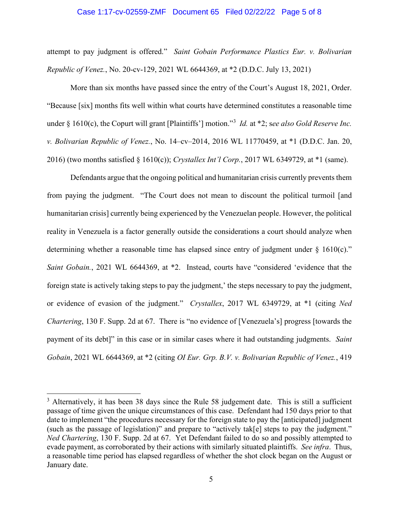#### Case 1:17-cv-02559-ZMF Document 65 Filed 02/22/22 Page 5 of 8

attempt to pay judgment is offered." *Saint Gobain Performance Plastics Eur. v. Bolivarian Republic of Venez.*, No. 20-cv-129, 2021 WL 6644369, at \*2 (D.D.C. July 13, 2021)

More than six months have passed since the entry of the Court's August 18, 2021, Order. "Because [six] months fits well within what courts have determined constitutes a reasonable time under § 1610(c), the Copurt will grant [Plaintiffs'] motion."[3](#page-4-0) *Id.* at \*2; s*ee also Gold Reserve Inc. v. Bolivarian Republic of Venez.*, No. 14–cv–2014, 2016 WL 11770459, at \*1 (D.D.C. Jan. 20, 2016) (two months satisfied § 1610(c)); *Crystallex Int'l Corp.*, 2017 WL 6349729, at \*1 (same).

Defendants argue that the ongoing political and humanitarian crisis currently prevents them from paying the judgment. "The Court does not mean to discount the political turmoil [and humanitarian crisis] currently being experienced by the Venezuelan people. However, the political reality in Venezuela is a factor generally outside the considerations a court should analyze when determining whether a reasonable time has elapsed since entry of judgment under  $\S$  1610(c)." *Saint Gobain.*, 2021 WL 6644369, at \*2. Instead, courts have "considered 'evidence that the foreign state is actively taking steps to pay the judgment,' the steps necessary to pay the judgment, or evidence of evasion of the judgment." *Crystallex*, 2017 WL 6349729, at \*1 (citing *Ned Chartering*, 130 F. Supp. 2d at 67. There is "no evidence of [Venezuela's] progress [towards the payment of its debt]" in this case or in similar cases where it had outstanding judgments. *Saint Gobain*, 2021 WL 6644369, at \*2 (citing *OI Eur. Grp. B.V. v. Bolivarian Republic of Venez.*, 419

<span id="page-4-0"></span> $3$  Alternatively, it has been 38 days since the Rule 58 judgement date. This is still a sufficient passage of time given the unique circumstances of this case. Defendant had 150 days prior to that date to implement "the procedures necessary for the foreign state to pay the [anticipated] judgment (such as the passage of legislation)" and prepare to "actively tak[e] steps to pay the judgment." *Ned Chartering*, 130 F. Supp. 2d at 67. Yet Defendant failed to do so and possibly attempted to evade payment, as corroborated by their actions with similarly situated plaintiffs. *See infra*. Thus, a reasonable time period has elapsed regardless of whether the shot clock began on the August or January date.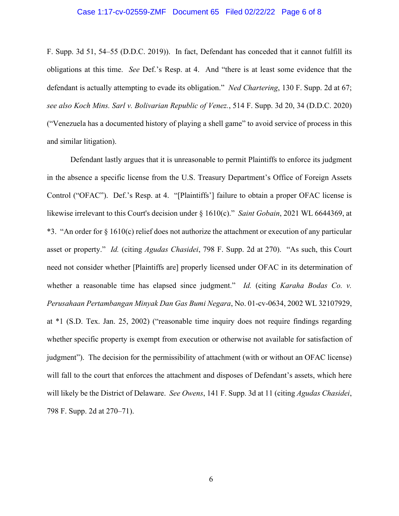#### Case 1:17-cv-02559-ZMF Document 65 Filed 02/22/22 Page 6 of 8

F. Supp. 3d 51, 54–55 (D.D.C. 2019)). In fact, Defendant has conceded that it cannot fulfill its obligations at this time. *See* Def.'s Resp. at 4. And "there is at least some evidence that the defendant is actually attempting to evade its obligation." *Ned Chartering*, 130 F. Supp. 2d at 67; *see also Koch Mins. Sarl v. Bolivarian Republic of Venez.*, 514 F. Supp. 3d 20, 34 (D.D.C. 2020) ("Venezuela has a documented history of playing a shell game" to avoid service of process in this and similar litigation).

Defendant lastly argues that it is unreasonable to permit Plaintiffs to enforce its judgment in the absence a specific license from the U.S. Treasury Department's Office of Foreign Assets Control ("OFAC"). Def.'s Resp. at 4. "[Plaintiffs'] failure to obtain a proper OFAC license is likewise irrelevant to this Court's decision under § 1610(c)." *Saint Gobain*, 2021 WL 6644369, at \*3. "An order for § 1610(c) relief does not authorize the attachment or execution of any particular asset or property." *Id.* (citing *Agudas Chasidei*, 798 F. Supp. 2d at 270). "As such, this Court need not consider whether [Plaintiffs are] properly licensed under OFAC in its determination of whether a reasonable time has elapsed since judgment." *Id.* (citing *Karaha Bodas Co. v. Perusahaan Pertambangan Minyak Dan Gas Bumi Negara*, No. 01-cv-0634, 2002 WL 32107929, at \*1 (S.D. Tex. Jan. 25, 2002) ("reasonable time inquiry does not require findings regarding whether specific property is exempt from execution or otherwise not available for satisfaction of judgment"). The decision for the permissibility of attachment (with or without an OFAC license) will fall to the court that enforces the attachment and disposes of Defendant's assets, which here will likely be the District of Delaware. *See Owens*, 141 F. Supp. 3d at 11 (citing *Agudas Chasidei*, 798 F. Supp. 2d at 270–71).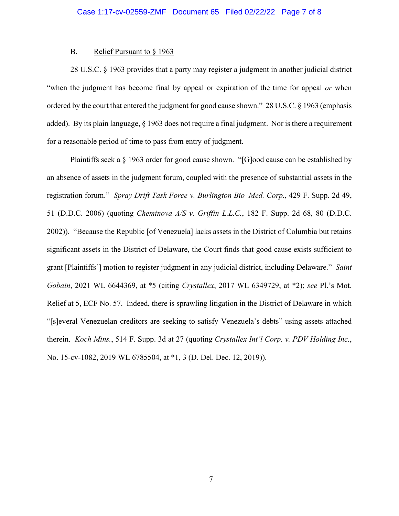#### B. Relief Pursuant to § 1963

28 U.S.C. § 1963 provides that a party may register a judgment in another judicial district "when the judgment has become final by appeal or expiration of the time for appeal *or* when ordered by the court that entered the judgment for good cause shown." 28 U.S.C. § 1963 (emphasis added). By its plain language, § 1963 does not require a final judgment. Nor is there a requirement for a reasonable period of time to pass from entry of judgment.

Plaintiffs seek a § 1963 order for good cause shown. "[G]ood cause can be established by an absence of assets in the judgment forum, coupled with the presence of substantial assets in the registration forum." *Spray Drift Task Force v. Burlington Bio–Med. Corp.*, 429 F. Supp. 2d 49, 51 (D.D.C. 2006) (quoting *Cheminova A/S v. Griffin L.L.C.*, 182 F. Supp. 2d 68, 80 (D.D.C. 2002)). "Because the Republic [of Venezuela] lacks assets in the District of Columbia but retains significant assets in the District of Delaware, the Court finds that good cause exists sufficient to grant [Plaintiffs'] motion to register judgment in any judicial district, including Delaware." *Saint Gobain*, 2021 WL 6644369, at \*5 (citing *Crystallex*, 2017 WL 6349729, at \*2); *see* Pl.'s Mot. Relief at 5, ECF No. 57. Indeed, there is sprawling litigation in the District of Delaware in which "[s]everal Venezuelan creditors are seeking to satisfy Venezuela's debts" using assets attached therein. *Koch Mins.*, 514 F. Supp. 3d at 27 (quoting *Crystallex Int'l Corp. v. PDV Holding Inc.*, No. 15-cv-1082, 2019 WL 6785504, at \*1, 3 (D. Del. Dec. 12, 2019)).